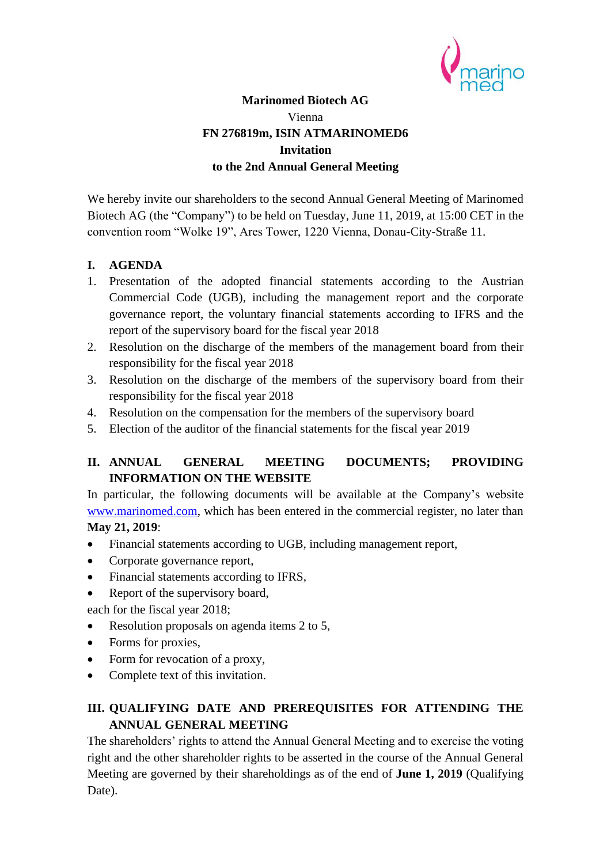

## **Marinomed Biotech AG** Vienna **FN 276819m, ISIN ATMARINOMED6 Invitation to the 2nd Annual General Meeting**

We hereby invite our shareholders to the second Annual General Meeting of Marinomed Biotech AG (the "Company") to be held on Tuesday, June 11, 2019, at 15:00 CET in the convention room "Wolke 19", Ares Tower, 1220 Vienna, Donau-City-Straße 11.

#### **I. AGENDA**

- 1. Presentation of the adopted financial statements according to the Austrian Commercial Code (UGB), including the management report and the corporate governance report, the voluntary financial statements according to IFRS and the report of the supervisory board for the fiscal year 2018
- 2. Resolution on the discharge of the members of the management board from their responsibility for the fiscal year 2018
- 3. Resolution on the discharge of the members of the supervisory board from their responsibility for the fiscal year 2018
- 4. Resolution on the compensation for the members of the supervisory board
- 5. Election of the auditor of the financial statements for the fiscal year 2019

## **II. ANNUAL GENERAL MEETING DOCUMENTS; PROVIDING INFORMATION ON THE WEBSITE**

In particular, the following documents will be available at the Company's website [www.marinomed.com,](http://www.marinomed.com/) which has been entered in the commercial register, no later than **May 21, 2019**:

- Financial statements according to UGB, including management report,
- Corporate governance report,
- Financial statements according to IFRS,
- Report of the supervisory board,
- each for the fiscal year 2018;
- Resolution proposals on agenda items 2 to 5,
- Forms for proxies,
- Form for revocation of a proxy,
- Complete text of this invitation.

# **III. QUALIFYING DATE AND PREREQUISITES FOR ATTENDING THE ANNUAL GENERAL MEETING**

The shareholders' rights to attend the Annual General Meeting and to exercise the voting right and the other shareholder rights to be asserted in the course of the Annual General Meeting are governed by their shareholdings as of the end of **June 1, 2019** (Qualifying Date).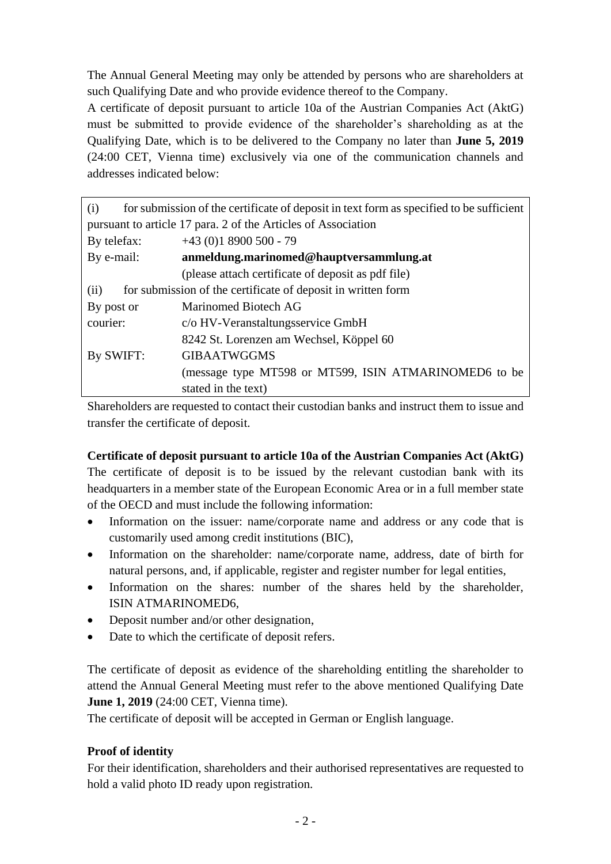The Annual General Meeting may only be attended by persons who are shareholders at such Qualifying Date and who provide evidence thereof to the Company.

A certificate of deposit pursuant to article 10a of the Austrian Companies Act (AktG) must be submitted to provide evidence of the shareholder's shareholding as at the Qualifying Date, which is to be delivered to the Company no later than **June 5, 2019** (24:00 CET, Vienna time) exclusively via one of the communication channels and addresses indicated below:

| for submission of the certificate of deposit in text form as specified to be sufficient<br>(i) |                                                       |  |
|------------------------------------------------------------------------------------------------|-------------------------------------------------------|--|
| pursuant to article 17 para. 2 of the Articles of Association                                  |                                                       |  |
| By telefax:                                                                                    | $+43(0)18900500 - 79$                                 |  |
| By e-mail:                                                                                     | anmeldung.marinomed@hauptversammlung.at               |  |
|                                                                                                | (please attach certificate of deposit as pdf file)    |  |
| for submission of the certificate of deposit in written form<br>(ii)                           |                                                       |  |
| By post or                                                                                     | Marinomed Biotech AG                                  |  |
| courier:                                                                                       | c/o HV-Veranstaltungsservice GmbH                     |  |
|                                                                                                | 8242 St. Lorenzen am Wechsel, Köppel 60               |  |
| By SWIFT:                                                                                      | <b>GIBAATWGGMS</b>                                    |  |
|                                                                                                | (message type MT598 or MT599, ISIN ATMARINOMED6 to be |  |
|                                                                                                | stated in the text)                                   |  |

Shareholders are requested to contact their custodian banks and instruct them to issue and transfer the certificate of deposit.

## **Certificate of deposit pursuant to article 10a of the Austrian Companies Act (AktG)**

The certificate of deposit is to be issued by the relevant custodian bank with its headquarters in a member state of the European Economic Area or in a full member state of the OECD and must include the following information:

- Information on the issuer: name/corporate name and address or any code that is customarily used among credit institutions (BIC),
- Information on the shareholder: name/corporate name, address, date of birth for natural persons, and, if applicable, register and register number for legal entities,
- Information on the shares: number of the shares held by the shareholder, ISIN ATMARINOMED6,
- Deposit number and/or other designation,
- Date to which the certificate of deposit refers.

The certificate of deposit as evidence of the shareholding entitling the shareholder to attend the Annual General Meeting must refer to the above mentioned Qualifying Date **June 1, 2019** (24:00 CET, Vienna time).

The certificate of deposit will be accepted in German or English language.

## **Proof of identity**

For their identification, shareholders and their authorised representatives are requested to hold a valid photo ID ready upon registration.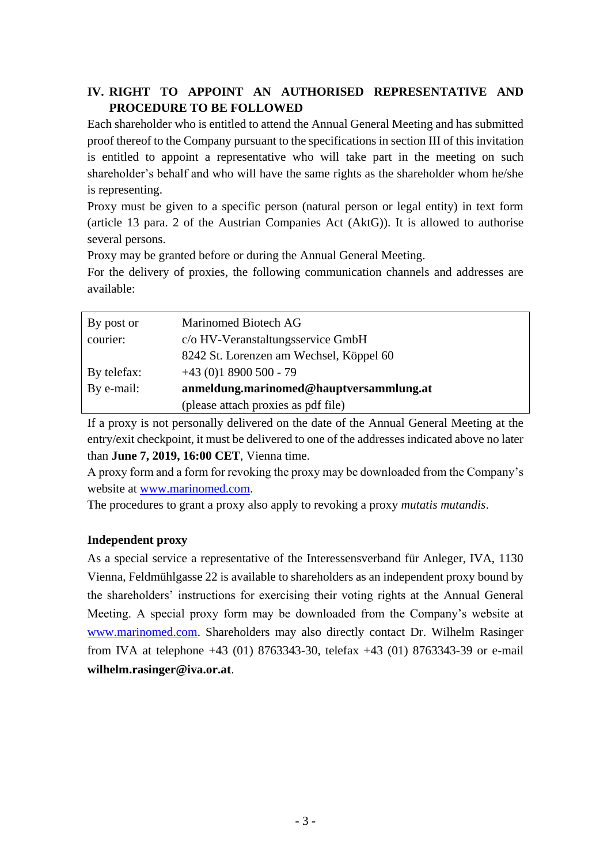# **IV. RIGHT TO APPOINT AN AUTHORISED REPRESENTATIVE AND PROCEDURE TO BE FOLLOWED**

Each shareholder who is entitled to attend the Annual General Meeting and has submitted proof thereof to the Company pursuant to the specifications in section III of this invitation is entitled to appoint a representative who will take part in the meeting on such shareholder's behalf and who will have the same rights as the shareholder whom he/she is representing.

Proxy must be given to a specific person (natural person or legal entity) in text form (article 13 para. 2 of the Austrian Companies Act (AktG)). It is allowed to authorise several persons.

Proxy may be granted before or during the Annual General Meeting.

For the delivery of proxies, the following communication channels and addresses are available:

| By post or  | Marinomed Biotech AG                    |
|-------------|-----------------------------------------|
| courier:    | c/o HV-Veranstaltungsservice GmbH       |
|             | 8242 St. Lorenzen am Wechsel, Köppel 60 |
| By telefax: | $+43(0)18900500 - 79$                   |
| By e-mail:  | anmeldung.marinomed@hauptversammlung.at |
|             | (please attach proxies as pdf file)     |

If a proxy is not personally delivered on the date of the Annual General Meeting at the entry/exit checkpoint, it must be delivered to one of the addresses indicated above no later than **June 7, 2019, 16:00 CET**, Vienna time.

A proxy form and a form for revoking the proxy may be downloaded from the Company's website at [www.marinomed.com.](http://www.marinomed.com/)

The procedures to grant a proxy also apply to revoking a proxy *mutatis mutandis*.

## **Independent proxy**

As a special service a representative of the Interessensverband für Anleger, IVA, 1130 Vienna, Feldmühlgasse 22 is available to shareholders as an independent proxy bound by the shareholders' instructions for exercising their voting rights at the Annual General Meeting. A special proxy form may be downloaded from the Company's website at [www.marinomed.com.](http://www.marinomed.com/) Shareholders may also directly contact Dr. Wilhelm Rasinger from IVA at telephone +43 (01) 8763343-30, telefax +43 (01) 8763343-39 or e-mail **wilhelm.rasinger@iva.or.at**.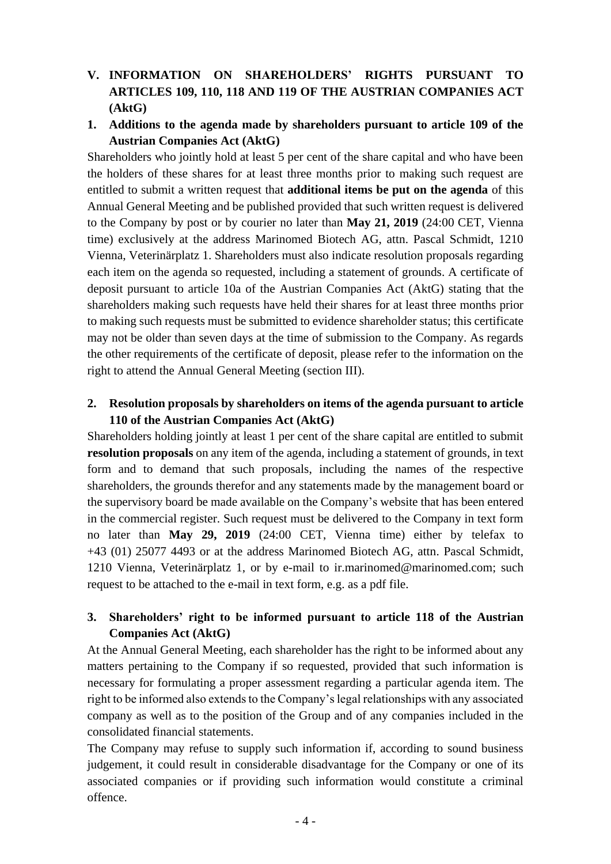# **V. INFORMATION ON SHAREHOLDERS' RIGHTS PURSUANT TO ARTICLES 109, 110, 118 AND 119 OF THE AUSTRIAN COMPANIES ACT (AktG)**

## **1. Additions to the agenda made by shareholders pursuant to article 109 of the Austrian Companies Act (AktG)**

Shareholders who jointly hold at least 5 per cent of the share capital and who have been the holders of these shares for at least three months prior to making such request are entitled to submit a written request that **additional items be put on the agenda** of this Annual General Meeting and be published provided that such written request is delivered to the Company by post or by courier no later than **May 21, 2019** (24:00 CET, Vienna time) exclusively at the address Marinomed Biotech AG, attn. Pascal Schmidt, 1210 Vienna, Veterinärplatz 1. Shareholders must also indicate resolution proposals regarding each item on the agenda so requested, including a statement of grounds. A certificate of deposit pursuant to article 10a of the Austrian Companies Act (AktG) stating that the shareholders making such requests have held their shares for at least three months prior to making such requests must be submitted to evidence shareholder status; this certificate may not be older than seven days at the time of submission to the Company. As regards the other requirements of the certificate of deposit, please refer to the information on the right to attend the Annual General Meeting (section III).

### **2. Resolution proposals by shareholders on items of the agenda pursuant to article 110 of the Austrian Companies Act (AktG)**

Shareholders holding jointly at least 1 per cent of the share capital are entitled to submit **resolution proposals** on any item of the agenda, including a statement of grounds, in text form and to demand that such proposals, including the names of the respective shareholders, the grounds therefor and any statements made by the management board or the supervisory board be made available on the Company's website that has been entered in the commercial register. Such request must be delivered to the Company in text form no later than **May 29, 2019** (24:00 CET, Vienna time) either by telefax to +43 (01) 25077 4493 or at the address Marinomed Biotech AG, attn. Pascal Schmidt, 1210 Vienna, Veterinärplatz 1, or by e-mail to ir.marinomed@marinomed.com; such request to be attached to the e-mail in text form, e.g. as a pdf file.

## **3. Shareholders' right to be informed pursuant to article 118 of the Austrian Companies Act (AktG)**

At the Annual General Meeting, each shareholder has the right to be informed about any matters pertaining to the Company if so requested, provided that such information is necessary for formulating a proper assessment regarding a particular agenda item. The right to be informed also extends to the Company's legal relationships with any associated company as well as to the position of the Group and of any companies included in the consolidated financial statements.

The Company may refuse to supply such information if, according to sound business judgement, it could result in considerable disadvantage for the Company or one of its associated companies or if providing such information would constitute a criminal offence.